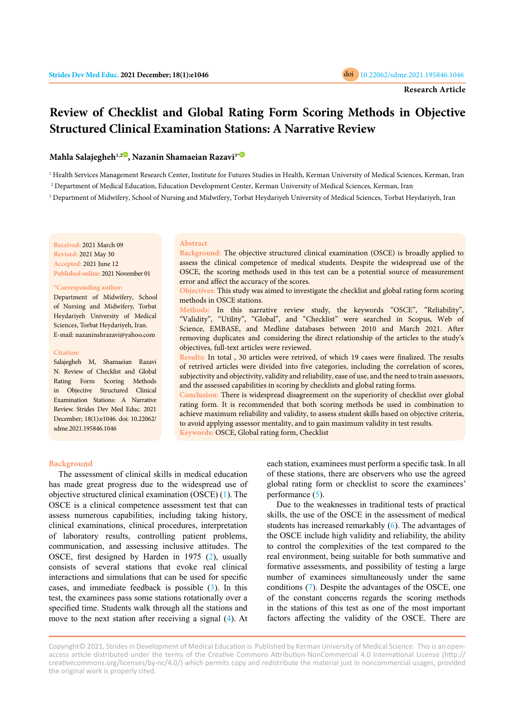

# **Review of Checklist and Global Rating Form Scoring Methods in Objective Structured Clinical Examination Stations: A Narrative Review**

# **Mahla Salajegheh1,[2](https://orcid.org/0000-0003-0651-3467) , Nazanin Shamaeian Razavi3[\\*](https://orcid.org/0000-0002-9576-1210)**

1 Health Services Management Research Center, Institute for Futures Studies in Health, Kerman University of Medical Sciences, Kerman, Iran

2 Department of Medical Education, Education Development Center, Kerman University of Medical Sciences, Kerman, Iran

 $^3$  Department of Midwifery, School of Nursing and Midwifery, Torbat Heydariyeh University of Medical Sciences, Torbat Heydariyeh, Iran

**Received:** 2021 March 09 **Revised:** 2021 May 30 **Accepted:** 2021 June 12 **Published online:** 2021 November 01

#### **\*Corresponding author:**

Department of Midwifery, School of Nursing and Midwifery, Torbat Heydariyeh University of Medical Sciences, Torbat Heydariyeh, Iran. E-mail: nazaninshrazavi@yahoo.com

#### **Citation:**

Salajegheh M, Shamaeian Razavi N. Review of Checklist and Global Rating Form Scoring Methods in Objective Structured Clinical Examination Stations: A Narrative Review. Strides Dev Med Educ. 2021 December; 18(1):e1046. doi: 10.22062/ sdme.2021.195846.1046

#### **Abstract**

**Background:** The objective structured clinical examination (OSCE) is broadly applied to assess the clinical competence of medical students. Despite the widespread use of the OSCE, the scoring methods used in this test can be a potential source of measurement error and affect the accuracy of the scores.

## **Objectives:** This study was aimed to investigate the checklist and global rating form scoring methods in OSCE stations.

**Methods:** In this narrative review study, the keywords "OSCE", "Reliability", "Validity", "Utility", "Global", and "Checklist" were searched in Scopus, Web of Science, EMBASE, and Medline databases between 2010 and March 2021. After removing duplicates and considering the direct relationship of the articles to the study's objectives, full-text articles were reviewed.

**Results:** In total , 30 articles were retrived, of which 19 cases were finalized. The results of retrived articles were divided into five categories, including the correlation of scores, subjectivity and objectivity, validity and reliability, ease of use, and the need to train assessors, and the assessed capabilities in scoring by checklists and global rating forms.

**Conclusion:** There is widespread disagreement on the superiority of checklist over global rating form. It is recommended that both scoring methods be used in combination to achieve maximum reliability and validity, to assess student skills based on objective criteria, to avoid applying assessor mentality, and to gain maximum validity in test results. **Keywords:** OSCE, Global rating form, Checklist

## **Background**

The assessment of clinical skills in medical education has made great progress due to the widespread use of objective structured clinical examination (OSCE) [\(1](#page-4-0)). The OSCE is a clinical competence assessment test that can assess numerous capabilities, including taking history, clinical examinations, clinical procedures, interpretation of laboratory results, controlling patient problems, communication, and assessing inclusive attitudes. The OSCE, first designed by Harden in 1975 ([2\)](#page-4-0), usually consists of several stations that evoke real clinical interactions and simulations that can be used for specific cases, and immediate feedback is possible ([3\)](#page-4-0). In this test, the examinees pass some stations rotationally over a specified time. Students walk through all the stations and move to the next station after receiving a signal ([4\)](#page-4-0). At

each station, examinees must perform a specific task. In all of these stations, there are observers who use the agreed global rating form or checklist to score the examinees' performance ([5](#page-4-0)).

Due to the weaknesses in traditional tests of practical skills, the use of the OSCE in the assessment of medical students has increased remarkably [\(6](#page-4-0)). The advantages of the OSCE include high validity and reliability, the ability to control the complexities of the test compared to the real environment, being suitable for both summative and formative assessments, and possibility of testing a large number of examinees simultaneously under the same conditions ([7](#page-4-0)). Despite the advantages of the OSCE, one of the constant concerns regards the scoring methods in the stations of this test as one of the most important factors affecting the validity of the OSCE. There are

Copyright© 2021, Strides in Development of Medical Education is Published by Kerman University of Medical Science. This is an openaccess article distributed under the terms of the Creative Commons Attribution-NonCommercial 4.0 International License (http:// creativecommons.org/licenses/by-nc/4.0/) which permits copy and redistribute the material just in noncommercial usages, provided the original work is properly cited.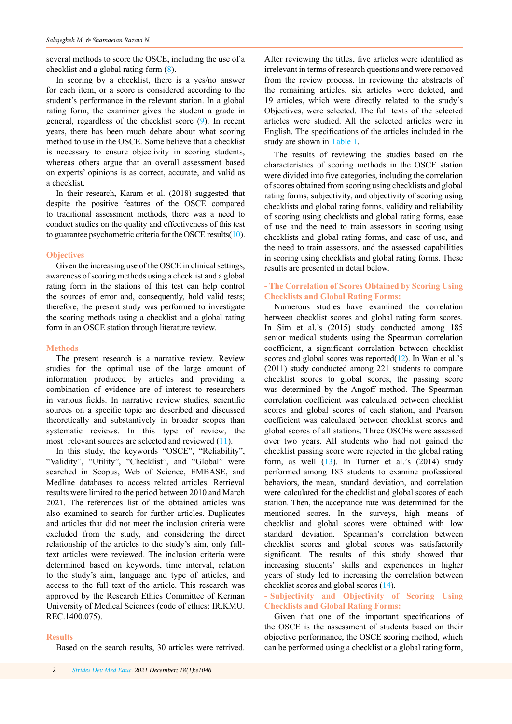several methods to score the OSCE, including the use of a checklist and a global rating form [\(8](#page-4-0)).

In scoring by a checklist, there is a yes/no answer for each item, or a score is considered according to the student's performance in the relevant station. In a global rating form, the examiner gives the student a grade in general, regardless of the checklist score ([9](#page-4-0)). In recent years, there has been much debate about what scoring method to use in the OSCE. Some believe that a checklist is necessary to ensure objectivity in scoring students, whereas others argue that an overall assessment based on experts' opinions is as correct, accurate, and valid as a checklist.

In their research, Karam et al. (2018) suggested that despite the positive features of the OSCE compared to traditional assessment methods, there was a need to conduct studies on the quality and effectiveness of this test to guarantee psychometric criteria for the OSCE results $(10)$  $(10)$  $(10)$ .

#### **Objectives**

Given the increasing use of the OSCE in clinical settings, awareness of scoring methods using a checklist and a global rating form in the stations of this test can help control the sources of error and, consequently, hold valid tests; therefore, the present study was performed to investigate the scoring methods using a checklist and a global rating form in an OSCE station through literature review.

## **Methods**

The present research is a narrative review. Review studies for the optimal use of the large amount of information produced by articles and providing a combination of evidence are of interest to researchers in various fields. In narrative review studies, scientific sources on a specific topic are described and discussed theoretically and substantively in broader scopes than systematic reviews. In this type of review, the most relevant sources are selected and reviewed [\(1](#page-4-0)1).

In this study, the keywords "OSCE", "Reliability", "Validity", "Utility", "Checklist", and "Global" were searched in Scopus, Web of Science, EMBASE, and Medline databases to access related articles. Retrieval results were limited to the period between 2010 and March 2021. The references list of the obtained articles was also examined to search for further articles. Duplicates and articles that did not meet the inclusion criteria were excluded from the study, and considering the direct relationship of the articles to the study's aim, only fulltext articles were reviewed. The inclusion criteria were determined based on keywords, time interval, relation to the study's aim, language and type of articles, and access to the full text of the article. This research was approved by the Research Ethics Committee of Kerman University of Medical Sciences (code of ethics: IR.KMU. REC.1400.075).

### **Results**

Based on the search results, 30 articles were retrived.

After reviewing the titles, five articles were identified as irrelevant in terms of research questions and were removed from the review process. In reviewing the abstracts of the remaining articles, six articles were deleted, and 19 articles, which were directly related to the study's Objectives, were selected. The full texts of the selected articles were studied. All the selected articles were in English. The specifications of the articles included in the study are shown in [Table 1](#page-2-0).

The results of reviewing the studies based on the characteristics of scoring methods in the OSCE station were divided into five categories, including the correlation of scores obtained from scoring using checklists and global rating forms, subjectivity, and objectivity of scoring using checklists and global rating forms, validity and reliability of scoring using checklists and global rating forms, ease of use and the need to train assessors in scoring using checklists and global rating forms, and ease of use, and the need to train assessors, and the assessed capabilities in scoring using checklists and global rating forms. These results are presented in detail below.

## **- The Correlation of Scores Obtained by Scoring Using Checklists and Global Rating Forms:**

Numerous studies have examined the correlation between checklist scores and global rating form scores. In Sim et al.'s (2015) study conducted among 185 senior medical students using the Spearman correlation coefficient, a significant correlation between checklist scores and global scores was reported(1[2](#page-5-0)). In Wan et al.'s (2011) study conducted among 221 students to compare checklist scores to global scores, the passing score was determined by the Angoff method. The Spearman correlation coefficient was calculated between checklist scores and global scores of each station, and Pearson coefficient was calculated between checklist scores and global scores of all stations. Three OSCEs were assessed over two years. All students who had not gained the checklist passing score were rejected in the global rating form, as well  $(13)$  $(13)$ . In Turner et al.'s  $(2014)$  study performed among 183 students to examine professional behaviors, the mean, standard deviation, and correlation were calculated for the checklist and global scores of each station. Then, the acceptance rate was determined for the mentioned scores. In the surveys, high means of checklist and global scores were obtained with low standard deviation. Spearman's correlation between checklist scores and global scores was satisfactorily significant. The results of this study showed that increasing students' skills and experiences in higher years of study led to increasing the correlation between checklist scores and global scores (1[4](#page-5-0)).

# **- Subjectivity and Objectivity of Scoring Using Checklists and Global Rating Forms:**

Given that one of the important specifications of the OSCE is the assessment of students based on their objective performance, the OSCE scoring method, which can be performed using a checklist or a global rating form,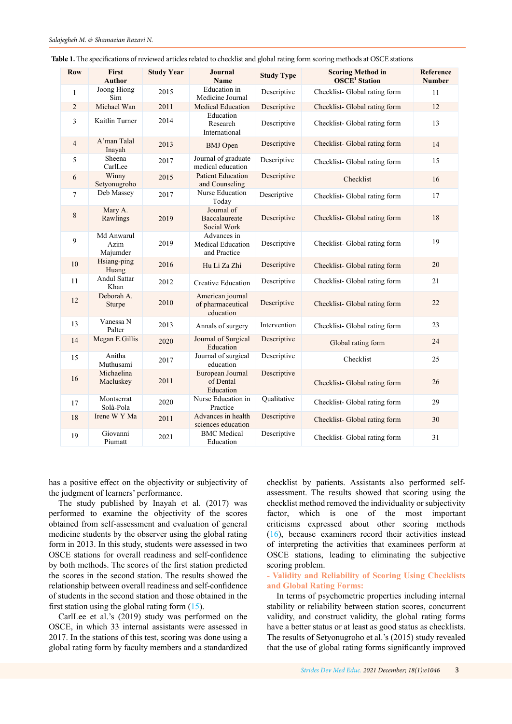| <b>Row</b>     | First<br><b>Author</b>         | <b>Study Year</b> | Journal<br><b>Name</b>                             | <b>Study Type</b> | <b>Scoring Method in</b><br><b>OSCE<sup>1</sup></b> Station | Reference<br><b>Number</b> |
|----------------|--------------------------------|-------------------|----------------------------------------------------|-------------------|-------------------------------------------------------------|----------------------------|
| 1              | Joong Hiong<br>Sim             | 2015              | Education in<br>Medicine Journal                   | Descriptive       | Checklist- Global rating form                               | 11                         |
| 2              | Michael Wan                    | 2011              | Medical Education                                  | Descriptive       | Checklist-Global rating form                                | 12                         |
| 3              | Kaitlin Turner                 | 2014              | Education<br>Research<br>International             | Descriptive       | Checklist-Global rating form                                | 13                         |
| $\overline{4}$ | A'man Talal<br>Inayah          | 2013              | <b>BMJ</b> Open                                    | Descriptive       | Checklist- Global rating form                               | 14                         |
| 5              | Sheena<br>CarlLee              | 2017              | Journal of graduate<br>medical education           | Descriptive       | Checklist- Global rating form                               | 15                         |
| 6              | Winny<br>Setyonugroho          | 2015              | <b>Patient Education</b><br>and Counseling         | Descriptive       | Checklist                                                   | 16                         |
| 7              | Deb Massey                     | 2017              | Nurse Education<br>Today                           | Descriptive       | Checklist-Global rating form                                | 17                         |
| 8              | Mary A.<br>Rawlings            | 2019              | Journal of<br>Baccalaureate<br>Social Work         | Descriptive       | Checklist- Global rating form                               | 18                         |
| 9              | Md Anwarul<br>Azim<br>Majumder | 2019              | Advances in<br>Medical Education<br>and Practice   | Descriptive       | Checklist- Global rating form                               | 19                         |
| 10             | Hsiang-ping<br>Huang           | 2016              | Hu Li Za Zhi                                       | Descriptive       | Checklist-Global rating form                                | 20                         |
| 11             | Andul Sattar<br>Khan           | 2012              | <b>Creative Education</b>                          | Descriptive       | Checklist-Global rating form                                | 21                         |
| 12             | Deborah A.<br>Sturpe           | 2010              | American journal<br>of pharmaceutical<br>education | Descriptive       | Checklist-Global rating form                                | 22                         |
| 13             | Vanessa N<br>Palter            | 2013              | Annals of surgery                                  | Intervention      | Checklist-Global rating form                                | 23                         |
| 14             | Megan E.Gillis                 | 2020              | Journal of Surgical<br>Education                   | Descriptive       | Global rating form                                          | 24                         |
| 15             | Anitha<br>Muthusami            | 2017              | Journal of surgical<br>education                   | Descriptive       | Checklist                                                   | 25                         |
| 16             | Michaelina<br>Macluskey        | 2011              | European Journal<br>of Dental<br>Education         | Descriptive       | Checklist-Global rating form                                | 26                         |
| 17             | Montserrat<br>Solà-Pola        | 2020              | Nurse Education in<br>Practice                     | Qualitative       | Checklist- Global rating form                               | 29                         |
| 18             | Irene W Y Ma                   | 2011              | Advances in health<br>sciences education           | Descriptive       | Checklist-Global rating form                                | 30                         |
| 19             | Giovanni<br>Piumatt            | 2021              | <b>BMC</b> Medical<br>Education                    | Descriptive       | Checklist-Global rating form                                | 31                         |

<span id="page-2-0"></span>

| <b>Table 1.</b> The specifications of reviewed articles related to checklist and global rating form scoring methods at OSCE stations |  |  |  |  |
|--------------------------------------------------------------------------------------------------------------------------------------|--|--|--|--|
|                                                                                                                                      |  |  |  |  |

has a positive effect on the objectivity or subjectivity of the judgment of learners' performance.

The study published by Inayah et al. (2017) was performed to examine the objectivity of the scores obtained from self-assessment and evaluation of general medicine students by the observer using the global rating form in 2013. In this study, students were assessed in two OSCE stations for overall readiness and self-confidence by both methods. The scores of the first station predicted the scores in the second station. The results showed the relationship between overall readiness and self-confidence of students in the second station and those obtained in the first station using the global rating form  $(15)$  $(15)$  $(15)$ .

CarlLee et al.'s (2019) study was performed on the OSCE, in which 33 internal assistants were assessed in 2017. In the stations of this test, scoring was done using a global rating form by faculty members and a standardized

checklist by patients. Assistants also performed selfassessment. The results showed that scoring using the checklist method removed the individuality or subjectivity factor, which is one of the most important criticisms expressed about other scoring methods ([16](#page-5-0)), because examiners record their activities instead of interpreting the activities that examinees perform at OSCE stations, leading to eliminating the subjective scoring problem.

# **- Validity and Reliability of Scoring Using Checklists and Global Rating Forms:**

In terms of psychometric properties including internal stability or reliability between station scores, concurrent validity, and construct validity, the global rating forms have a better status or at least as good status as checklists. The results of Setyonugroho et al.'s (2015) study revealed that the use of global rating forms significantly improved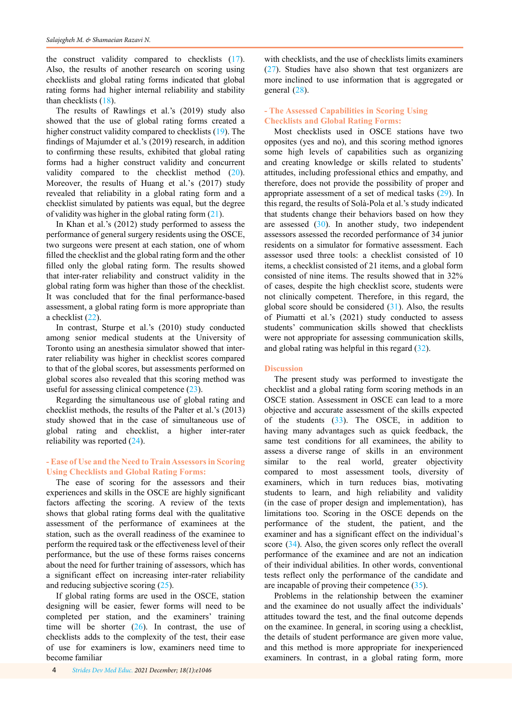the construct validity compared to checklists (1[7](#page-5-0)). Also, the results of another research on scoring using checklists and global rating forms indicated that global rating forms had higher internal reliability and stability than checklists ([18](#page-5-0)).

The results of Rawlings et al.'s (2019) study also showed that the use of global rating forms created a higher construct validity compared to checklists [\(1](#page-5-0)9). The findings of Majumder et al.'s (2019) research, in addition to confirming these results, exhibited that global rating forms had a higher construct validity and concurrent validity compared to the checklist method ([20](#page-5-0)). Moreover, the results of Huang et al.'s (2017) study revealed that reliability in a global rating form and a checklist simulated by patients was equal, but the degree of validity was higher in the global rating form [\(2](#page-5-0)1).

In Khan et al.'s (2012) study performed to assess the performance of general surgery residents using the OSCE, two surgeons were present at each station, one of whom filled the checklist and the global rating form and the other filled only the global rating form. The results showed that inter-rater reliability and construct validity in the global rating form was higher than those of the checklist. It was concluded that for the final performance-based assessment, a global rating form is more appropriate than a checklist [\(2](#page-5-0)2).

In contrast, Sturpe et al.'s (2010) study conducted among senior medical students at the University of Toronto using an anesthesia simulator showed that interrater reliability was higher in checklist scores compared to that of the global scores, but assessments performed on global scores also revealed that this scoring method was useful for assessing clinical competence  $(23)$  $(23)$ .

Regarding the simultaneous use of global rating and checklist methods, the results of the Palter et al.'s (2013) study showed that in the case of simultaneous use of global rating and checklist, a higher inter-rater reliability was reported [\(2](#page-5-0)4).

# **- Ease of Use and the Need to Train Assessors in Scoring Using Checklists and Global Rating Forms:**

The ease of scoring for the assessors and their experiences and skills in the OSCE are highly significant factors affecting the scoring. A review of the texts shows that global rating forms deal with the qualitative assessment of the performance of examinees at the station, such as the overall readiness of the examinee to perform the required task or the effectiveness level of their performance, but the use of these forms raises concerns about the need for further training of assessors, which has a significant effect on increasing inter-rater reliability and reducing subjective scoring (2[5](#page-5-0)).

If global rating forms are used in the OSCE, station designing will be easier, fewer forms will need to be completed per station, and the examiners' training time will be shorter  $(26)$  $(26)$  $(26)$ . In contrast, the use of checklists adds to the complexity of the test, their ease of use for examiners is low, examiners need time to become familiar

consisted of nine items. The results showed that in 32% of cases, despite the high checklist score, students were

general ([28](#page-5-0)).

not clinically competent. Therefore, in this regard, the global score should be considered  $(31)$  $(31)$ . Also, the results of Piumatti et al.'s (2021) study conducted to assess students' communication skills showed that checklists were not appropriate for assessing communication skills, and global rating was helpful in this regard [\(3](#page-5-0)2).

with checklists, and the use of checklists limits examiners (2[7](#page-5-0)). Studies have also shown that test organizers are more inclined to use information that is aggregated or

Most checklists used in OSCE stations have two opposites (yes and no), and this scoring method ignores some high levels of capabilities such as organizing and creating knowledge or skills related to students' attitudes, including professional ethics and empathy, and therefore, does not provide the possibility of proper and appropriate assessment of a set of medical tasks [\(2](#page-5-0)9). In this regard, the results of Solà-Pola et al.'s study indicated that students change their behaviors based on how they are assessed  $(30)$  $(30)$  $(30)$ . In another study, two independent assessors assessed the recorded performance of 34 junior residents on a simulator for formative assessment. Each assessor used three tools: a checklist consisted of 10 items, a checklist consisted of 21 items, and a global form

**- The Assessed Capabilities in Scoring Using Checklists and Global Rating Forms:**

#### **Discussion**

The present study was performed to investigate the checklist and a global rating form scoring methods in an OSCE station. Assessment in OSCE can lead to a more objective and accurate assessment of the skills expected of the students [\(3](#page-5-0)3). The OSCE, in addition to having many advantages such as quick feedback, the same test conditions for all examinees, the ability to assess a diverse range of skills in an environment similar to the real world, greater objectivity compared to most assessment tools, diversity of examiners, which in turn reduces bias, motivating students to learn, and high reliability and validity (in the case of proper design and implementation), has limitations too. Scoring in the OSCE depends on the performance of the student, the patient, and the examiner and has a significant effect on the individual's score ([34](#page-5-0)). Also, the given scores only reflect the overall performance of the examinee and are not an indication of their individual abilities. In other words, conventional tests reflect only the performance of the candidate and are incapable of proving their competence ([35](#page-5-0)).

Problems in the relationship between the examiner and the examinee do not usually affect the individuals' attitudes toward the test, and the final outcome depends on the examinee. In general, in scoring using a checklist, the details of student performance are given more value, and this method is more appropriate for inexperienced examiners. In contrast, in a global rating form, more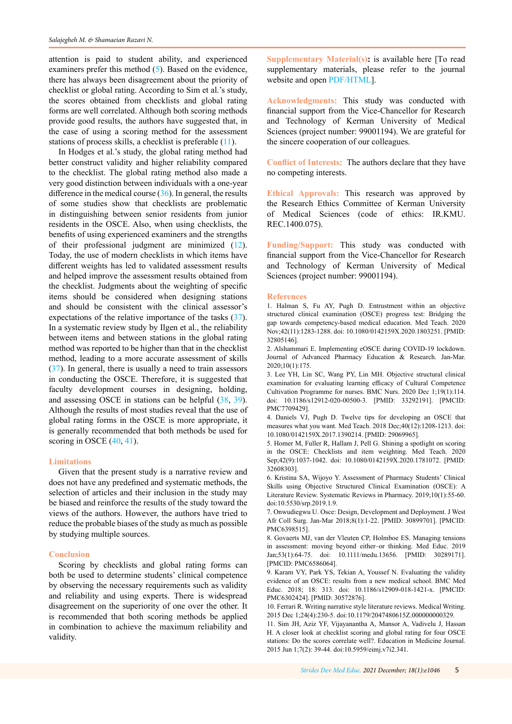<span id="page-4-0"></span>attention is paid to student ability, and experienced examiners prefer this method (5). Based on the evidence, there has always been disagreement about the priority of checklist or global rating. According to Sim et al.'s study, the scores obtained from checklists and global rating forms are well correlated. Although both scoring methods provide good results, the authors have suggested that, in the case of using a scoring method for the assessment stations of process skills, a checklist is preferable (11).

In Hodges et al.'s study, the global rating method had better construct validity and higher reliability compared to the checklist. The global rating method also made a very good distinction between individuals with a one-year difference in the medical course  $(36)$  $(36)$  $(36)$ . In general, the results of some studies show that checklists are problematic in distinguishing between senior residents from junior residents in the OSCE. Also, when using checklists, the benefits of using experienced examiners and the strengths of their professional judgment are minimized ([12\)](#page-5-0). Today, the use of modern checklists in which items have different weights has led to validated assessment results and helped improve the assessment results obtained from the checklist. Judgments about the weighting of specific items should be considered when designing stations and should be consistent with the clinical assessor's expectations of the relative importance of the tasks ([37](#page-5-0)). In a systematic review study by Ilgen et al., the reliability between items and between stations in the global rating method was reported to be higher than that in the checklist method, leading to a more accurate assessment of skills ([37](#page-5-0)). In general, there is usually a need to train assessors in conducting the OSCE. Therefore, it is suggested that faculty development courses in designing, holding, and assessing OSCE in stations can be helpful ([38,](#page-5-0) [39](#page-5-0)). Although the results of most studies reveal that the use of global rating forms in the OSCE is more appropriate, it is generally recommended that both methods be used for scoring in OSCE  $(40, 41)$  $(40, 41)$  $(40, 41)$  $(40, 41)$ .

#### **Limitations**

Given that the present study is a narrative review and does not have any predefined and systematic methods, the selection of articles and their inclusion in the study may be biased and reinforce the results of the study toward the views of the authors. However, the authors have tried to reduce the probable biases of the study as much as possible by studying multiple sources.

#### **Conclusion**

Scoring by checklists and global rating forms can both be used to determine students' clinical competence by observing the necessary requirements such as validity and reliability and using experts. There is widespread disagreement on the superiority of one over the other. It is recommended that both scoring methods be applied in combination to achieve the maximum reliability and validity.

**Supplementary Material(s):** is available here [To read supplementary materials, please refer to the journal website and open [PDF/HTML](http://sdme.kmu.ac.ir/jufile?ar_sfile=814107)].

**Acknowledgments:** This study was conducted with financial support from the Vice-Chancellor for Research and Technology of Kerman University of Medical Sciences (project number: 99001194). We are grateful for the sincere cooperation of our colleagues.

**Conflict of Interests:** The authors declare that they have no competing interests.

**Ethical Approvals:** This research was approved by the Research Ethics Committee of Kerman University of Medical Sciences (code of ethics: IR.KMU. REC.1400.075).

**Funding/Support:** This study was conducted with financial support from the Vice-Chancellor for Research and Technology of Kerman University of Medical Sciences (project number: 99001194).

#### **References**

1. Halman S, Fu AY, Pugh D. Entrustment within an objective structured clinical examination (OSCE) progress test: Bridging the gap towards competency-based medical education. Med Teach. 2020 Nov;42(11):1283-1288. doi: 10.1080/0142159X.2020.1803251. [PMID: 32805146].

2. Alshammari E. Implementing eOSCE during COVID-19 lockdown. Journal of Advanced Pharmacy Education & Research. Jan-Mar. 2020;10(1):175.

3. Lee YH, Lin SC, Wang PY, Lin MH. Objective structural clinical examination for evaluating learning efficacy of Cultural Competence Cultivation Programme for nurses. BMC Nurs. 2020 Dec 1;19(1):114. doi: 10.1186/s12912-020-00500-3. [PMID: 33292191]. [PMCID: PMC7709429].

4. Daniels VJ, Pugh D. Twelve tips for developing an OSCE that measures what you want. Med Teach. 2018 Dec;40(12):1208-1213. doi: 10.1080/0142159X.2017.1390214. [PMID: 29069965].

5. Homer M, Fuller R, Hallam J, Pell G. Shining a spotlight on scoring in the OSCE: Checklists and item weighting. Med Teach. 2020 Sep;42(9):1037-1042. doi: 10.1080/0142159X.2020.1781072. [PMID: 32608303].

6. Kristina SA, Wijoyo Y. Assessment of Pharmacy Students' Clinical Skills using Objective Structured Clinical Examination (OSCE): A Literature Review. Systematic Reviews in Pharmacy. 2019;10(1):55-60. doi:10.5530/srp.2019.1.9.

7. Onwudiegwu U. Osce: Design, Development and Deployment. J West Afr Coll Surg. Jan-Mar 2018;8(1):1-22. [PMID: 30899701]. [PMCID: PMC6398515].

8. Govaerts MJ, van der Vleuten CP, Holmboe ES. Managing tensions in assessment: moving beyond either–or thinking. Med Educ. 2019 Jan;53(1):64-75. doi: 10.1111/medu.13656. [PMID: 30289171]. [PMCID: PMC6586064].

9. Karam VY, Park YS, Tekian A, Youssef N. Evaluating the validity evidence of an OSCE: results from a new medical school. BMC Med Educ. 2018; 18: 313. doi: 10.1186/s12909-018-1421-x. [PMCID: PMC6302424]. [PMID: 30572876].

10. Ferrari R. Writing narrative style literature reviews. Medical Writing. 2015 Dec 1;24(4):230-5. doi:10.1179/2047480615Z.000000000329.

11. Sim JH, Aziz YF, Vijayanantha A, Mansor A, Vadivelu J, Hassan H. A closer look at checklist scoring and global rating for four OSCE stations: Do the scores correlate well?. Education in Medicine Journal. 2015 Jun 1;7(2): 39-44. doi:10.5959/eimj.v7i2.341.